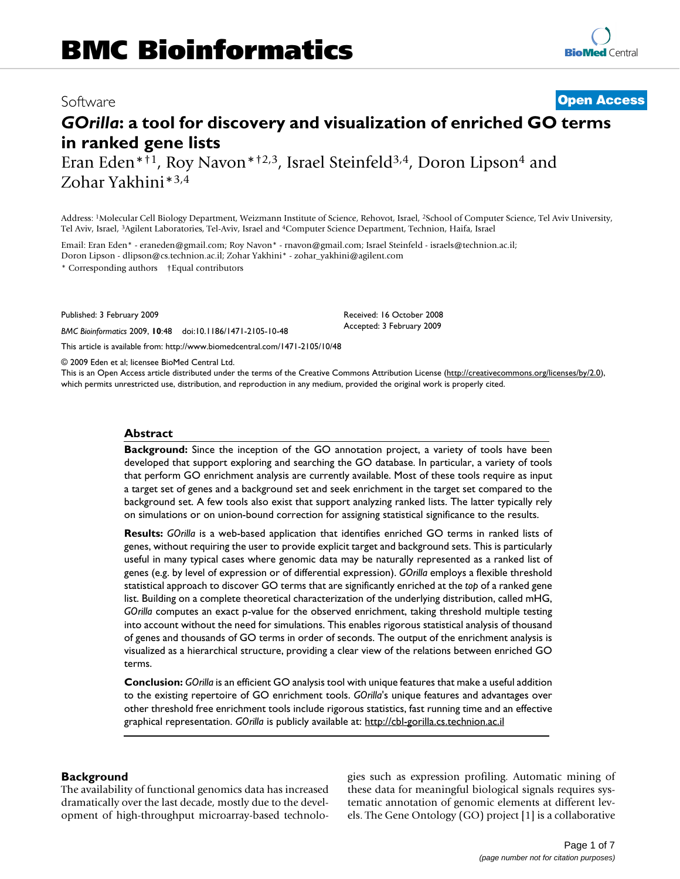# Software **[Open Access](http://www.biomedcentral.com/info/about/charter/)**

# *GOrilla***: a tool for discovery and visualization of enriched GO terms in ranked gene lists**

Eran Eden\*<sup>†1</sup>, Roy Navon<sup>\*†2,3</sup>, Israel Steinfeld<sup>3,4</sup>, Doron Lipson<sup>4</sup> and Zohar Yakhini\*3,4

Address: 1Molecular Cell Biology Department, Weizmann Institute of Science, Rehovot, Israel, 2School of Computer Science, Tel Aviv University, Tel Aviv, Israel, 3Agilent Laboratories, Tel-Aviv, Israel and 4Computer Science Department, Technion, Haifa, Israel

Email: Eran Eden\* - eraneden@gmail.com; Roy Navon\* - rnavon@gmail.com; Israel Steinfeld - israels@technion.ac.il;

Doron Lipson - dlipson@cs.technion.ac.il; Zohar Yakhini\* - zohar\_yakhini@agilent.com

\* Corresponding authors †Equal contributors

Published: 3 February 2009

*BMC Bioinformatics* 2009, **10**:48 doi:10.1186/1471-2105-10-48

[This article is available from: http://www.biomedcentral.com/1471-2105/10/48](http://www.biomedcentral.com/1471-2105/10/48)

© 2009 Eden et al; licensee BioMed Central Ltd.

This is an Open Access article distributed under the terms of the Creative Commons Attribution License [\(http://creativecommons.org/licenses/by/2.0\)](http://creativecommons.org/licenses/by/2.0), which permits unrestricted use, distribution, and reproduction in any medium, provided the original work is properly cited.

Received: 16 October 2008 Accepted: 3 February 2009

#### **Abstract**

**Background:** Since the inception of the GO annotation project, a variety of tools have been developed that support exploring and searching the GO database. In particular, a variety of tools that perform GO enrichment analysis are currently available. Most of these tools require as input a target set of genes and a background set and seek enrichment in the target set compared to the background set. A few tools also exist that support analyzing ranked lists. The latter typically rely on simulations or on union-bound correction for assigning statistical significance to the results.

**Results:** *GOrilla* is a web-based application that identifies enriched GO terms in ranked lists of genes, without requiring the user to provide explicit target and background sets. This is particularly useful in many typical cases where genomic data may be naturally represented as a ranked list of genes (e.g. by level of expression or of differential expression). *GOrilla* employs a flexible threshold statistical approach to discover GO terms that are significantly enriched at the *top* of a ranked gene list. Building on a complete theoretical characterization of the underlying distribution, called mHG, *GOrilla* computes an exact p-value for the observed enrichment, taking threshold multiple testing into account without the need for simulations. This enables rigorous statistical analysis of thousand of genes and thousands of GO terms in order of seconds. The output of the enrichment analysis is visualized as a hierarchical structure, providing a clear view of the relations between enriched GO terms.

**Conclusion:** *GOrilla* is an efficient GO analysis tool with unique features that make a useful addition to the existing repertoire of GO enrichment tools. *GOrilla*'s unique features and advantages over other threshold free enrichment tools include rigorous statistics, fast running time and an effective graphical representation. *GOrilla* is publicly available at: <http://cbl-gorilla.cs.technion.ac.il>

# **Background**

The availability of functional genomics data has increased dramatically over the last decade, mostly due to the development of high-throughput microarray-based technologies such as expression profiling. Automatic mining of these data for meaningful biological signals requires systematic annotation of genomic elements at different levels. The Gene Ontology (GO) project [[1](#page-6-0)] is a collaborative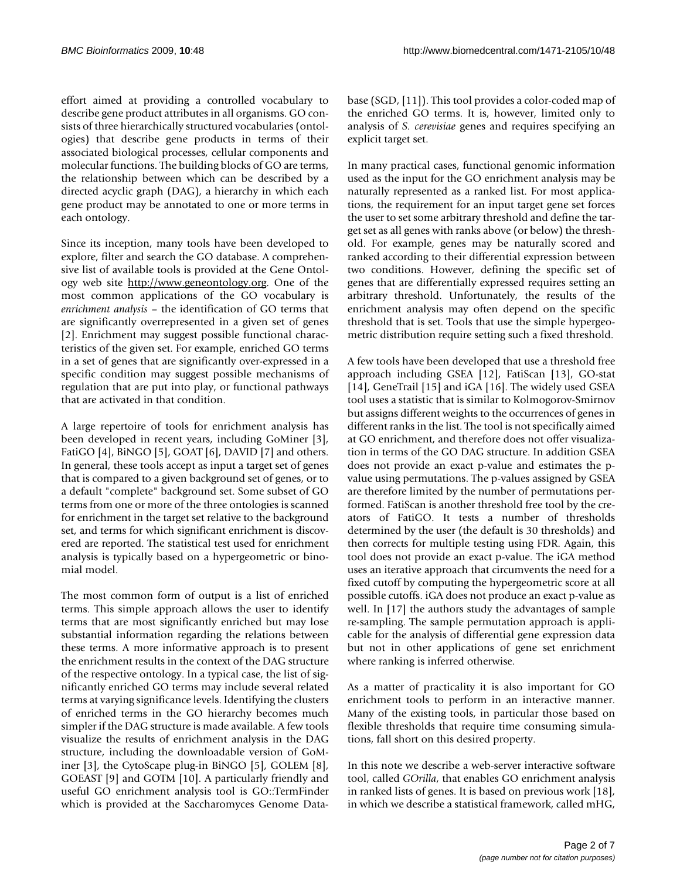effort aimed at providing a controlled vocabulary to describe gene product attributes in all organisms. GO consists of three hierarchically structured vocabularies (ontologies) that describe gene products in terms of their associated biological processes, cellular components and molecular functions. The building blocks of GO are terms, the relationship between which can be described by a directed acyclic graph (DAG), a hierarchy in which each gene product may be annotated to one or more terms in each ontology.

Since its inception, many tools have been developed to explore, filter and search the GO database. A comprehensive list of available tools is provided at the Gene Ontology web site [http://www.geneontology.org.](http://www.geneontology.org) One of the most common applications of the GO vocabulary is *enrichment analysis* – the identification of GO terms that are significantly overrepresented in a given set of genes [[2\]](#page-6-1). Enrichment may suggest possible functional characteristics of the given set. For example, enriched GO terms in a set of genes that are significantly over-expressed in a specific condition may suggest possible mechanisms of regulation that are put into play, or functional pathways that are activated in that condition.

A large repertoire of tools for enrichment analysis has been developed in recent years, including GoMiner [[3](#page-6-2)], FatiGO [\[4\]](#page-6-3), BiNGO [\[5\]](#page-6-4), GOAT [\[6](#page-6-5)], DAVID [[7](#page-6-6)] and others. In general, these tools accept as input a target set of genes that is compared to a given background set of genes, or to a default "complete" background set. Some subset of GO terms from one or more of the three ontologies is scanned for enrichment in the target set relative to the background set, and terms for which significant enrichment is discovered are reported. The statistical test used for enrichment analysis is typically based on a hypergeometric or binomial model.

The most common form of output is a list of enriched terms. This simple approach allows the user to identify terms that are most significantly enriched but may lose substantial information regarding the relations between these terms. A more informative approach is to present the enrichment results in the context of the DAG structure of the respective ontology. In a typical case, the list of significantly enriched GO terms may include several related terms at varying significance levels. Identifying the clusters of enriched terms in the GO hierarchy becomes much simpler if the DAG structure is made available. A few tools visualize the results of enrichment analysis in the DAG structure, including the downloadable version of GoMiner [\[3\]](#page-6-2), the CytoScape plug-in BiNGO [[5](#page-6-4)], GOLEM [[8](#page-6-7)], GOEAST [\[9\]](#page-6-8) and GOTM [[10](#page-6-9)]. A particularly friendly and useful GO enrichment analysis tool is GO::TermFinder which is provided at the Saccharomyces Genome Database (SGD, [\[11](#page-6-10)]). This tool provides a color-coded map of the enriched GO terms. It is, however, limited only to analysis of *S. cerevisiae* genes and requires specifying an explicit target set.

In many practical cases, functional genomic information used as the input for the GO enrichment analysis may be naturally represented as a ranked list. For most applications, the requirement for an input target gene set forces the user to set some arbitrary threshold and define the target set as all genes with ranks above (or below) the threshold. For example, genes may be naturally scored and ranked according to their differential expression between two conditions. However, defining the specific set of genes that are differentially expressed requires setting an arbitrary threshold. Unfortunately, the results of the enrichment analysis may often depend on the specific threshold that is set. Tools that use the simple hypergeometric distribution require setting such a fixed threshold.

A few tools have been developed that use a threshold free approach including GSEA [[12](#page-6-11)], FatiScan [[13](#page-6-12)], GO-stat [[14](#page-6-13)], GeneTrail [[15\]](#page-6-14) and iGA [[16](#page-6-15)]. The widely used GSEA tool uses a statistic that is similar to Kolmogorov-Smirnov but assigns different weights to the occurrences of genes in different ranks in the list. The tool is not specifically aimed at GO enrichment, and therefore does not offer visualization in terms of the GO DAG structure. In addition GSEA does not provide an exact p-value and estimates the pvalue using permutations. The p-values assigned by GSEA are therefore limited by the number of permutations performed. FatiScan is another threshold free tool by the creators of FatiGO. It tests a number of thresholds determined by the user (the default is 30 thresholds) and then corrects for multiple testing using FDR. Again, this tool does not provide an exact p-value. The iGA method uses an iterative approach that circumvents the need for a fixed cutoff by computing the hypergeometric score at all possible cutoffs. iGA does not produce an exact p-value as well. In [[17\]](#page-6-16) the authors study the advantages of sample re-sampling. The sample permutation approach is applicable for the analysis of differential gene expression data but not in other applications of gene set enrichment where ranking is inferred otherwise.

As a matter of practicality it is also important for GO enrichment tools to perform in an interactive manner. Many of the existing tools, in particular those based on flexible thresholds that require time consuming simulations, fall short on this desired property.

In this note we describe a web-server interactive software tool, called *GOrilla*, that enables GO enrichment analysis in ranked lists of genes. It is based on previous work [\[18](#page-6-17)], in which we describe a statistical framework, called mHG,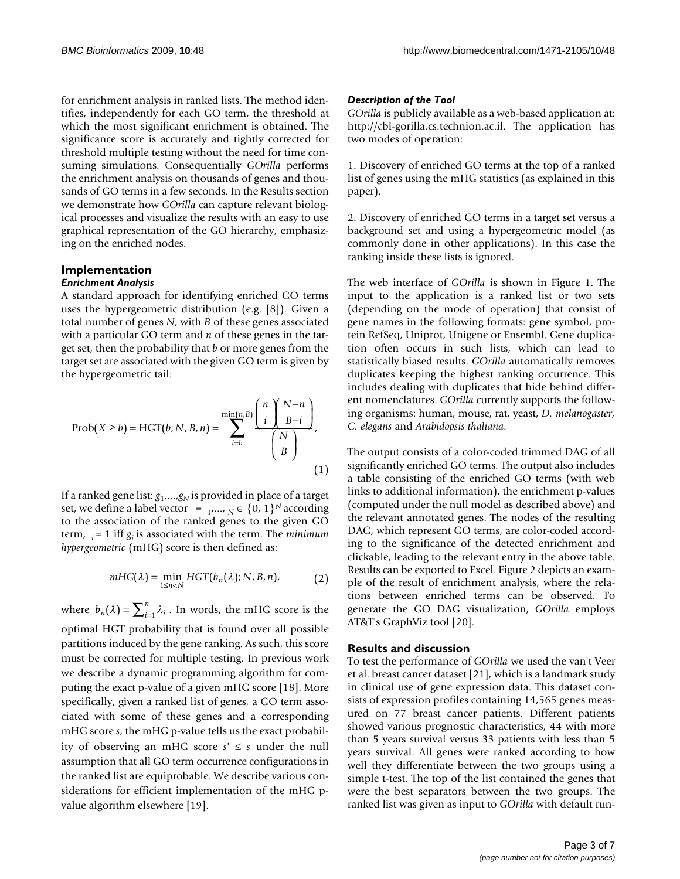for enrichment analysis in ranked lists. The method identifies, independently for each GO term, the threshold at which the most significant enrichment is obtained. The significance score is accurately and tightly corrected for threshold multiple testing without the need for time consuming simulations. Consequentially *GOrilla* performs the enrichment analysis on thousands of genes and thousands of GO terms in a few seconds. In the Results section we demonstrate how *GOrilla* can capture relevant biological processes and visualize the results with an easy to use graphical representation of the GO hierarchy, emphasizing on the enriched nodes.

### **Implementation** *Enrichment Analysis*

A standard approach for identifying enriched GO terms uses the hypergeometric distribution (e.g. [\[8\]](#page-6-7)). Given a total number of genes *N*, with *B* of these genes associated with a particular GO term and *n* of these genes in the target set, then the probability that *b* or more genes from the target set are associated with the given GO term is given by the hypergeometric tail:

$$
\text{Prob}(X \ge b) = \text{HGT}(b; N, B, n) = \sum_{i=b}^{\min(n, B)} \frac{\binom{n}{i} \binom{N-n}{B-i}}{\binom{N}{B}},
$$
\n(1)

If a ranked gene list:  $g_1,...,g_N$  is provided in place of a target set, we define a label vector =  $_1,..., N \in \{0, 1\}^N$  according to the association of the ranked genes to the given GO term,  $_i = 1$  iff  $g_i$  is associated with the term. The *minimum hypergeometric* (mHG) score is then defined as:

$$
mHG(\lambda) = \min_{1 \le n < N} HGT(b_n(\lambda); N, B, n), \tag{2}
$$

where  $b_n(\lambda) = \sum_{i=1}^n \lambda_i$ . In words, the mHG score is the optimal HGT probability that is found over all possible partitions induced by the gene ranking. As such, this score must be corrected for multiple testing. In previous work we describe a dynamic programming algorithm for computing the exact p-value of a given mHG score [[18](#page-6-17)]. More specifically, given a ranked list of genes, a GO term associated with some of these genes and a corresponding mHG score *s*, the mHG p-value tells us the exact probability of observing an mHG score  $s' \leq s$  under the null assumption that all GO term occurrence configurations in the ranked list are equiprobable. We describe various considerations for efficient implementation of the mHG pvalue algorithm elsewhere [\[19](#page-6-18)].

# *Description of the Tool*

*GOrilla* is publicly available as a web-based application at: <http://cbl-gorilla.cs.technion.ac.il>. The application has two modes of operation:

1. Discovery of enriched GO terms at the top of a ranked list of genes using the mHG statistics (as explained in this paper).

2. Discovery of enriched GO terms in a target set versus a background set and using a hypergeometric model (as commonly done in other applications). In this case the ranking inside these lists is ignored.

The web interface of *GOrilla* is shown in Figure [1](#page-3-0). The input to the application is a ranked list or two sets (depending on the mode of operation) that consist of gene names in the following formats: gene symbol, protein RefSeq, Uniprot, Unigene or Ensembl. Gene duplication often occurs in such lists, which can lead to statistically biased results. *GOrilla* automatically removes duplicates keeping the highest ranking occurrence. This includes dealing with duplicates that hide behind different nomenclatures. *GOrilla* currently supports the following organisms: human, mouse, rat, yeast, *D. melanogaster, C. elegans* and *Arabidopsis thaliana*.

The output consists of a color-coded trimmed DAG of all significantly enriched GO terms. The output also includes a table consisting of the enriched GO terms (with web links to additional information), the enrichment p-values (computed under the null model as described above) and the relevant annotated genes. The nodes of the resulting DAG, which represent GO terms, are color-coded according to the significance of the detected enrichment and clickable, leading to the relevant entry in the above table. Results can be exported to Excel. Figure [2](#page-4-0) depicts an example of the result of enrichment analysis, where the relations between enriched terms can be observed. To generate the GO DAG visualization, *GOrilla* employs AT&T's GraphViz tool [[20](#page-6-19)].

# **Results and discussion**

To test the performance of *GOrilla* we used the van't Veer et al. breast cancer dataset [[21\]](#page-6-20), which is a landmark study in clinical use of gene expression data. This dataset consists of expression profiles containing 14,565 genes measured on 77 breast cancer patients. Different patients showed various prognostic characteristics, 44 with more than 5 years survival versus 33 patients with less than 5 years survival. All genes were ranked according to how well they differentiate between the two groups using a simple t-test. The top of the list contained the genes that were the best separators between the two groups. The ranked list was given as input to *GOrilla* with default run-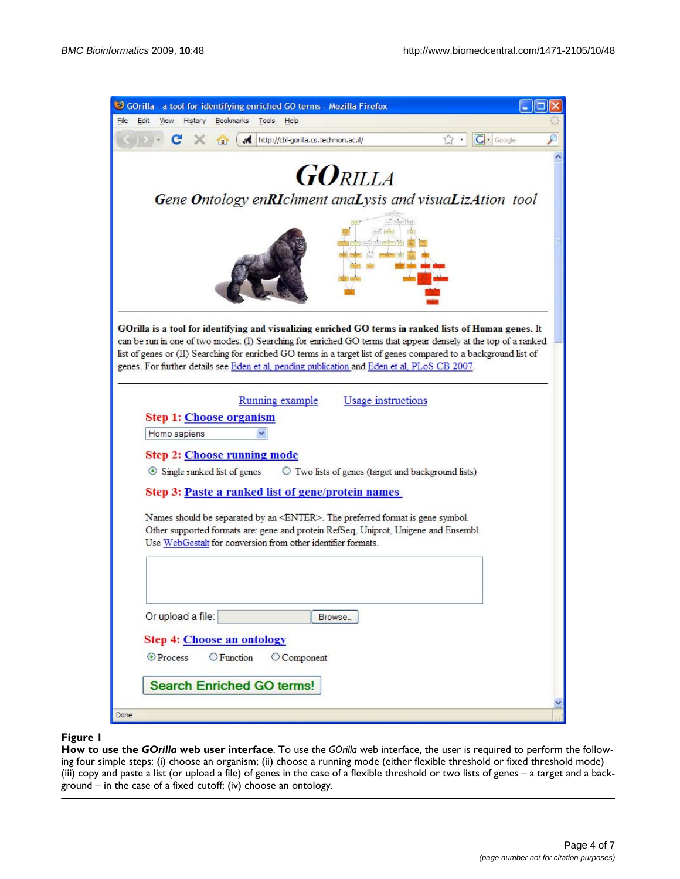<span id="page-3-0"></span>

#### **Figure 1**

**How to use the** *GOrilla* **web user interface**. To use the *GOrilla* web interface, the user is required to perform the following four simple steps: (i) choose an organism; (ii) choose a running mode (either flexible threshold or fixed threshold mode) (iii) copy and paste a list (or upload a file) of genes in the case of a flexible threshold or two lists of genes – a target and a background – in the case of a fixed cutoff; (iv) choose an ontology.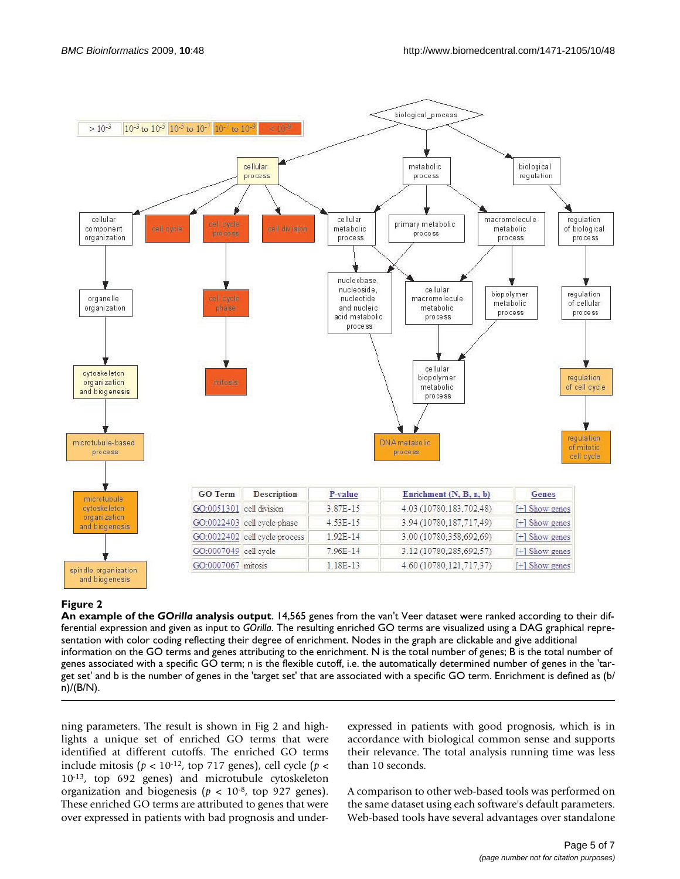<span id="page-4-0"></span>

# **Figure 2**

**An example of the** *GOrilla* **analysis output**. 14,565 genes from the van't Veer dataset were ranked according to their differential expression and given as input to *GOrilla*. The resulting enriched GO terms are visualized using a DAG graphical representation with color coding reflecting their degree of enrichment. Nodes in the graph are clickable and give additional information on the GO terms and genes attributing to the enrichment. N is the total number of genes; B is the total number of genes associated with a specific GO term; n is the flexible cutoff, i.e. the automatically determined number of genes in the 'target set' and b is the number of genes in the 'target set' that are associated with a specific GO term. Enrichment is defined as (b/ n)/(B/N).

ning parameters. The result is shown in Fig [2](#page-4-0) and highlights a unique set of enriched GO terms that were identified at different cutoffs. The enriched GO terms include mitosis (*p* < 10-12, top 717 genes), cell cycle (*p* < 10-13, top 692 genes) and microtubule cytoskeleton organization and biogenesis (*p* < 10-8, top 927 genes). These enriched GO terms are attributed to genes that were over expressed in patients with bad prognosis and underexpressed in patients with good prognosis, which is in accordance with biological common sense and supports their relevance. The total analysis running time was less than 10 seconds.

A comparison to other web-based tools was performed on the same dataset using each software's default parameters. Web-based tools have several advantages over standalone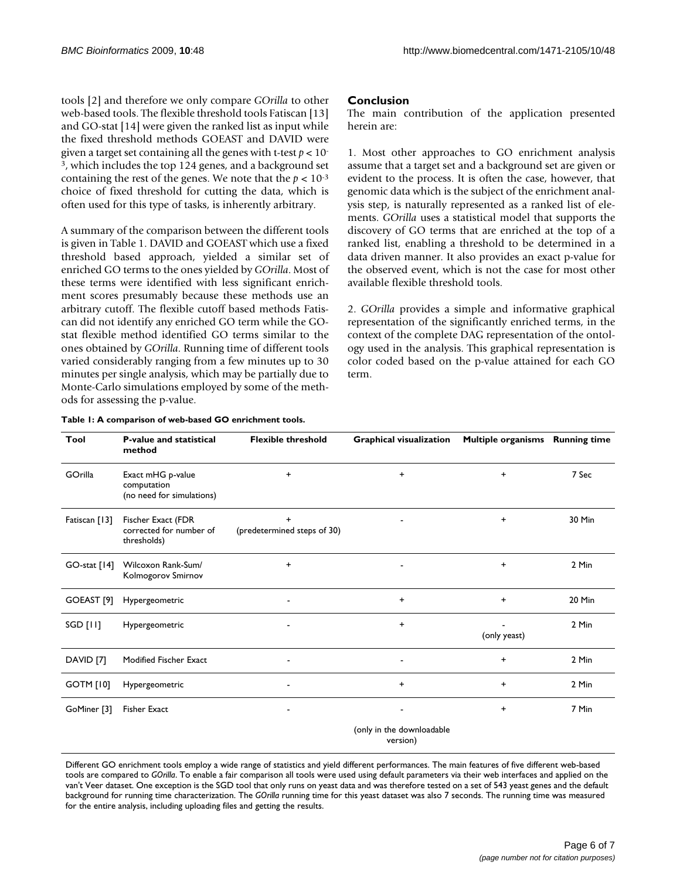tools [\[2\]](#page-6-1) and therefore we only compare *GOrilla* to other web-based tools. The flexible threshold tools Fatiscan [[13\]](#page-6-12) and GO-stat [[14\]](#page-6-13) were given the ranked list as input while the fixed threshold methods GOEAST and DAVID were given a target set containing all the genes with t-test *p* < 10- 3, which includes the top 124 genes, and a background set containing the rest of the genes. We note that the  $p < 10^{-3}$ choice of fixed threshold for cutting the data, which is often used for this type of tasks, is inherently arbitrary.

A summary of the comparison between the different tools is given in Table [1](#page-5-0). DAVID and GOEAST which use a fixed threshold based approach, yielded a similar set of enriched GO terms to the ones yielded by *GOrilla*. Most of these terms were identified with less significant enrichment scores presumably because these methods use an arbitrary cutoff. The flexible cutoff based methods Fatiscan did not identify any enriched GO term while the GOstat flexible method identified GO terms similar to the ones obtained by *GOrilla*. Running time of different tools varied considerably ranging from a few minutes up to 30 minutes per single analysis, which may be partially due to Monte-Carlo simulations employed by some of the methods for assessing the p-value.

#### <span id="page-5-0"></span>**Table 1: A comparison of web-based GO enrichment tools.**

### **Conclusion**

The main contribution of the application presented herein are:

1. Most other approaches to GO enrichment analysis assume that a target set and a background set are given or evident to the process. It is often the case, however, that genomic data which is the subject of the enrichment analysis step, is naturally represented as a ranked list of elements. *GOrilla* uses a statistical model that supports the discovery of GO terms that are enriched at the top of a ranked list, enabling a threshold to be determined in a data driven manner. It also provides an exact p-value for the observed event, which is not the case for most other available flexible threshold tools.

2. *GOrilla* provides a simple and informative graphical representation of the significantly enriched terms, in the context of the complete DAG representation of the ontology used in the analysis. This graphical representation is color coded based on the p-value attained for each GO term.

| Tool          | <b>P-value and statistical</b><br>method                      | <b>Flexible threshold</b>        | <b>Graphical visualization</b>        | Multiple organisms Running time |        |
|---------------|---------------------------------------------------------------|----------------------------------|---------------------------------------|---------------------------------|--------|
| GOrilla       | Exact mHG p-value<br>computation<br>(no need for simulations) | $\ddot{}$                        | $\ddot{}$                             | $\ddot{}$                       | 7 Sec  |
| Fatiscan [13] | Fischer Exact (FDR<br>corrected for number of<br>thresholds)  | +<br>(predetermined steps of 30) |                                       | $\ddot{}$                       | 30 Min |
| GO-stat [14]  | Wilcoxon Rank-Sum/<br>Kolmogorov Smirnov                      | $\ddot{}$                        |                                       | $\ddot{}$                       | 2 Min  |
| GOEAST [9]    | Hypergeometric                                                |                                  | +                                     | $\ddot{}$                       | 20 Min |
| SGD [11]      | Hypergeometric                                                |                                  | $\ddot{}$                             | (only yeast)                    | 2 Min  |
| DAVID [7]     | Modified Fischer Exact                                        |                                  |                                       | $\ddot{}$                       | 2 Min  |
| GOTM [10]     | Hypergeometric                                                |                                  | $\ddot{}$                             | $\ddot{}$                       | 2 Min  |
| GoMiner [3]   | <b>Fisher Exact</b>                                           |                                  | $\blacksquare$                        | $\ddot{}$                       | 7 Min  |
|               |                                                               |                                  | (only in the downloadable<br>$\ldots$ |                                 |        |

version)

Different GO enrichment tools employ a wide range of statistics and yield different performances. The main features of five different web-based tools are compared to *GOrilla*. To enable a fair comparison all tools were used using default parameters via their web interfaces and applied on the van't Veer dataset. One exception is the SGD tool that only runs on yeast data and was therefore tested on a set of 543 yeast genes and the default background for running time characterization. The *GOrilla* running time for this yeast dataset was also 7 seconds. The running time was measured for the entire analysis, including uploading files and getting the results.